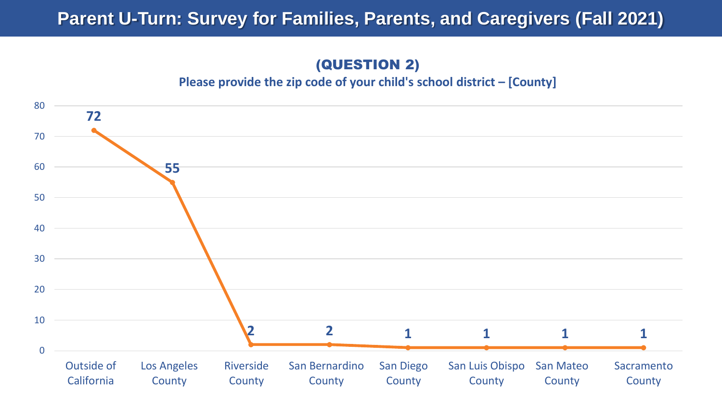### (QUESTION 2)

**Please provide the zip code of your child's school district – [County]**

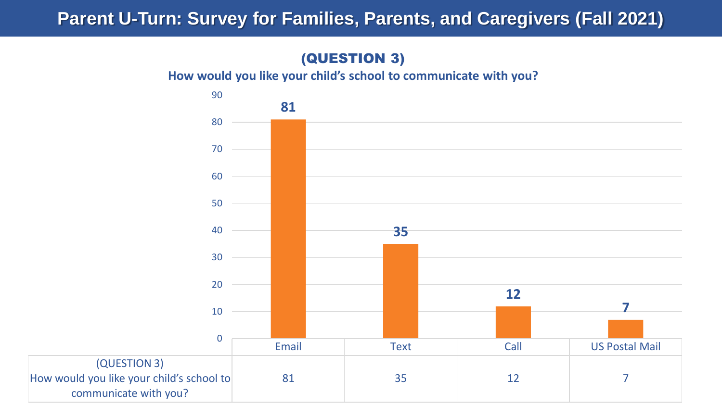#### (QUESTION 3)

**How would you like your child's school to communicate with you?**

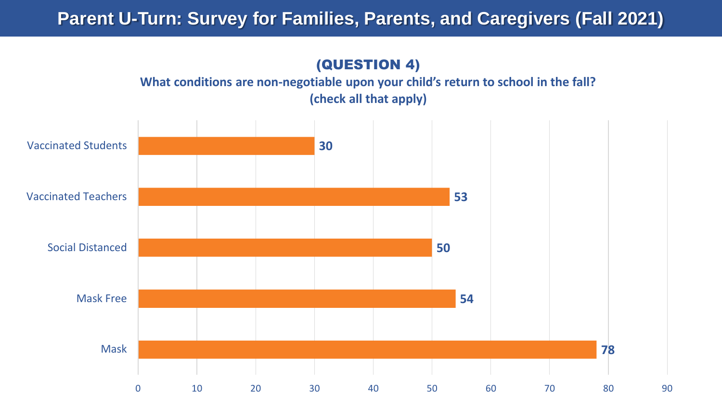### (QUESTION 4)

#### **What conditions are non-negotiable upon your child's return to school in the fall? (check all that apply)**

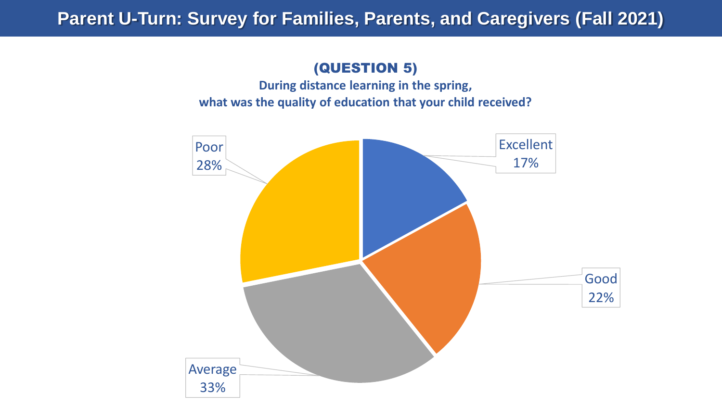#### (QUESTION 5)

**During distance learning in the spring, what was the quality of education that your child received?**

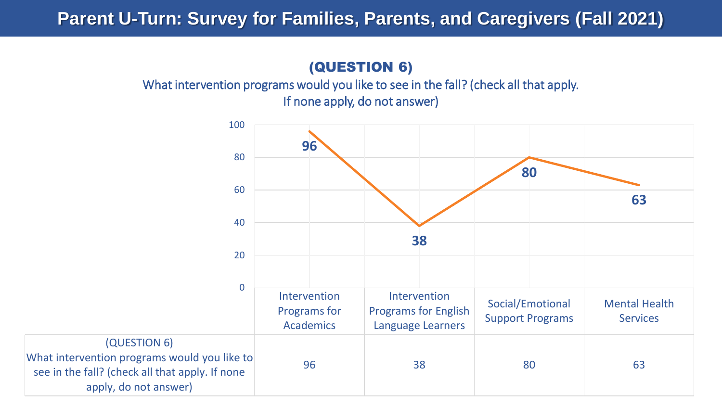### (QUESTION 6)

What intervention programs would you like to see in the fall? (check all that apply. If none apply, do not answer)

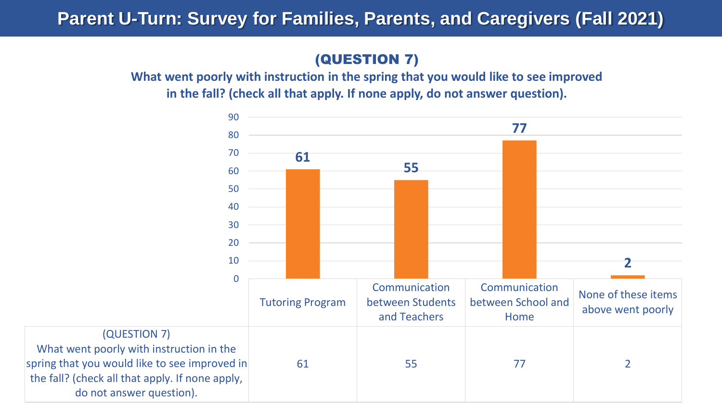### (QUESTION 7)

**What went poorly with instruction in the spring that you would like to see improved in the fall? (check all that apply. If none apply, do not answer question).**

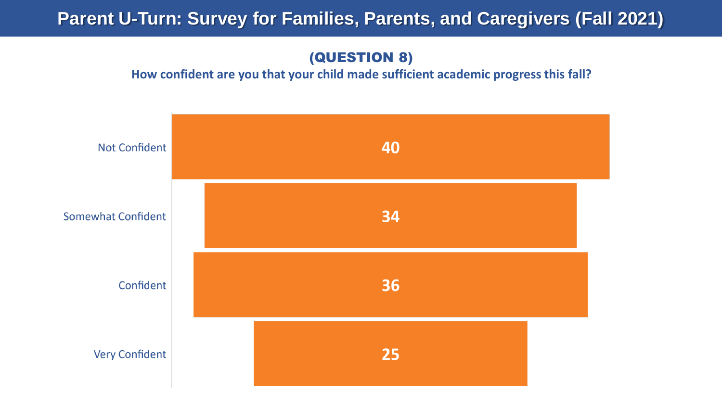#### (QUESTION 8)

#### **How confident are you that your child made sufficient academic progress this fall?**

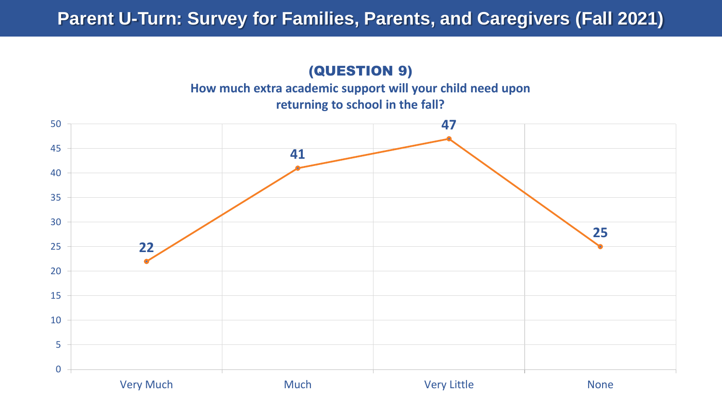### (QUESTION 9)

**How much extra academic support will your child need upon** 

**returning to school in the fall?**

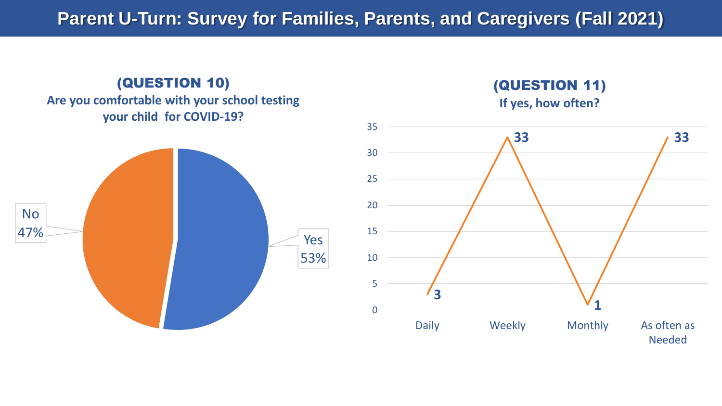